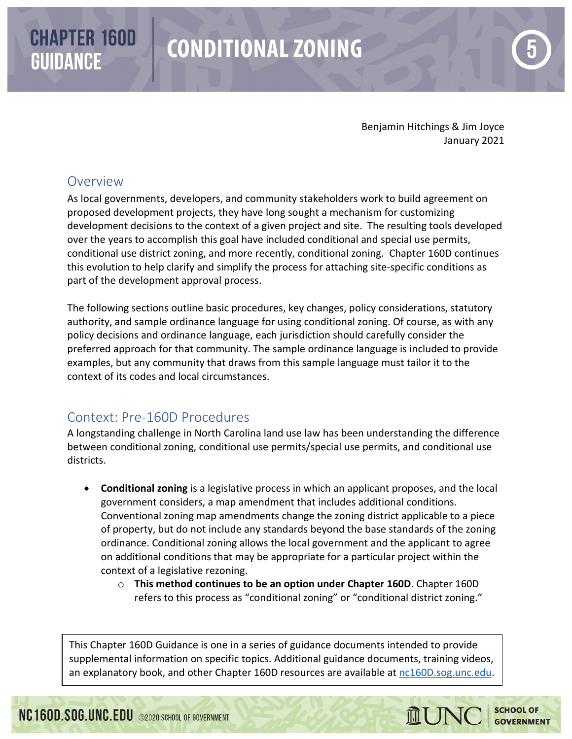# **CHAPTER 160D GUIDANCE**

# **CONDITIONAL ZONING**

Benjamin Hitchings & Jim Joyce January 2021

# Overview

As local governments, developers, and community stakeholders work to build agreement on proposed development projects, they have long sought a mechanism for customizing development decisions to the context of a given project and site. The resulting tools developed over the years to accomplish this goal have included conditional and special use permits, conditional use district zoning, and more recently, conditional zoning. Chapter 160D continues this evolution to help clarify and simplify the process for attaching site-specific conditions as part of the development approval process.

The following sections outline basic procedures, key changes, policy considerations, statutory authority, and sample ordinance language for using conditional zoning. Of course, as with any policy decisions and ordinance language, each jurisdiction should carefully consider the preferred approach for that community. The sample ordinance language is included to provide examples, but any community that draws from this sample language must tailor it to the context of its codes and local circumstances.

# Context: Pre-160D Procedures

A longstanding challenge in North Carolina land use law has been understanding the difference between conditional zoning, conditional use permits/special use permits, and conditional use districts.

- **Conditional zoning** is a legislative process in which an applicant proposes, and the local government considers, a map amendment that includes additional conditions. Conventional zoning map amendments change the zoning district applicable to a piece of property, but do not include any standards beyond the base standards of the zoning ordinance. Conditional zoning allows the local government and the applicant to agree on additional conditions that may be appropriate for a particular project within the context of a legislative rezoning.
	- o **This method continues to be an option under Chapter 160D**. Chapter 160D refers to this process as "conditional zoning" or "conditional district zoning."

This Chapter 160D Guidance is one in a series of guidance documents intended to provide supplemental information on specific topics. Additional guidance documents, training videos, an explanatory book, and other Chapter 160D resources are available at [nc160D.sog.unc.edu.](https://www.sog.unc.edu/resources/microsites/planning-and-development-regulation/ch-160d-2019)

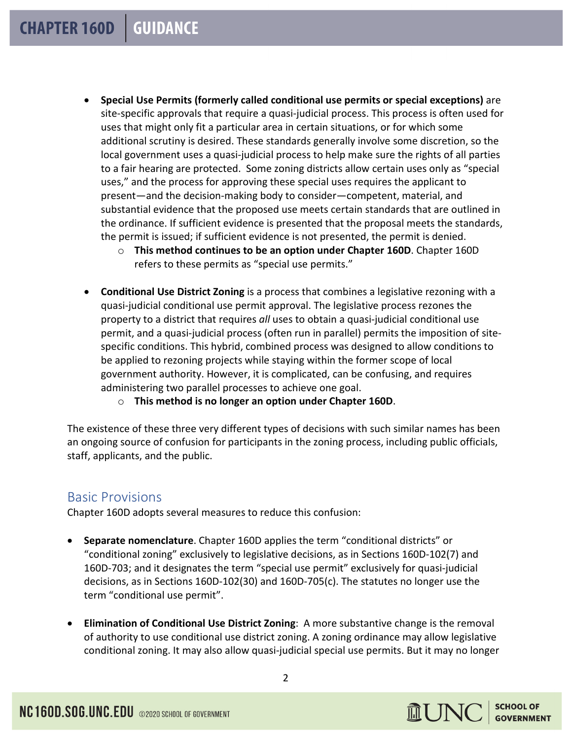- **Special Use Permits (formerly called conditional use permits or special exceptions)** are site-specific approvals that require a quasi-judicial process. This process is often used for uses that might only fit a particular area in certain situations, or for which some additional scrutiny is desired. These standards generally involve some discretion, so the local government uses a quasi-judicial process to help make sure the rights of all parties to a fair hearing are protected. Some zoning districts allow certain uses only as "special uses," and the process for approving these special uses requires the applicant to present—and the decision-making body to consider—competent, material, and substantial evidence that the proposed use meets certain standards that are outlined in the ordinance. If sufficient evidence is presented that the proposal meets the standards, the permit is issued; if sufficient evidence is not presented, the permit is denied.
	- o **This method continues to be an option under Chapter 160D**. Chapter 160D refers to these permits as "special use permits."
- **Conditional Use District Zoning** is a process that combines a legislative rezoning with a quasi-judicial conditional use permit approval. The legislative process rezones the property to a district that requires *all* uses to obtain a quasi-judicial conditional use permit, and a quasi-judicial process (often run in parallel) permits the imposition of sitespecific conditions. This hybrid, combined process was designed to allow conditions to be applied to rezoning projects while staying within the former scope of local government authority. However, it is complicated, can be confusing, and requires administering two parallel processes to achieve one goal.
	- o **This method is no longer an option under Chapter 160D**.

The existence of these three very different types of decisions with such similar names has been an ongoing source of confusion for participants in the zoning process, including public officials, staff, applicants, and the public.

# Basic Provisions

Chapter 160D adopts several measures to reduce this confusion:

- **Separate nomenclature**. Chapter 160D applies the term "conditional districts" or "conditional zoning" exclusively to legislative decisions, as in Sections 160D-102(7) and 160D-703; and it designates the term "special use permit" exclusively for quasi-judicial decisions, as in Sections 160D-102(30) and 160D-705(c). The statutes no longer use the term "conditional use permit".
- **Elimination of Conditional Use District Zoning**: A more substantive change is the removal of authority to use conditional use district zoning. A zoning ordinance may allow legislative conditional zoning. It may also allow quasi-judicial special use permits. But it may no longer

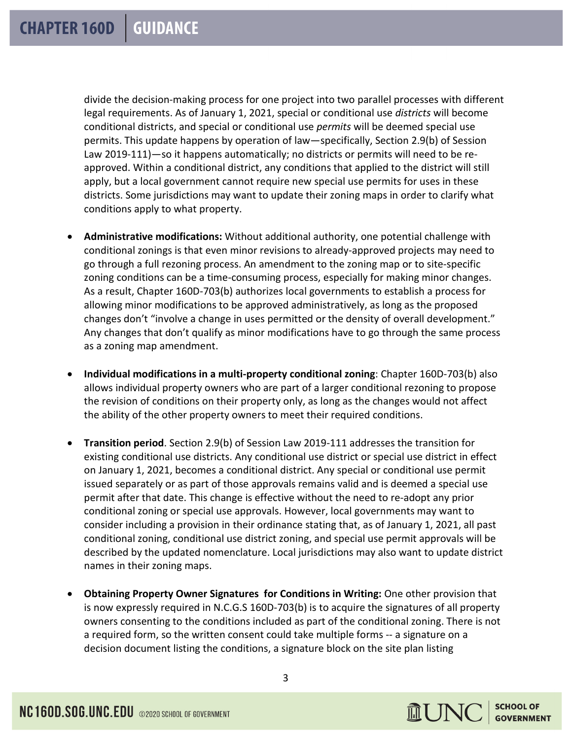divide the decision-making process for one project into two parallel processes with different legal requirements. As of January 1, 2021, special or conditional use *districts* will become conditional districts, and special or conditional use *permits* will be deemed special use permits. This update happens by operation of law—specifically, Section 2.9(b) of Session Law 2019-111)—so it happens automatically; no districts or permits will need to be reapproved. Within a conditional district, any conditions that applied to the district will still apply, but a local government cannot require new special use permits for uses in these districts. Some jurisdictions may want to update their zoning maps in order to clarify what conditions apply to what property.

- **Administrative modifications:** Without additional authority, one potential challenge with conditional zonings is that even minor revisions to already-approved projects may need to go through a full rezoning process. An amendment to the zoning map or to site-specific zoning conditions can be a time-consuming process, especially for making minor changes. As a result, Chapter 160D-703(b) authorizes local governments to establish a process for allowing minor modifications to be approved administratively, as long as the proposed changes don't "involve a change in uses permitted or the density of overall development." Any changes that don't qualify as minor modifications have to go through the same process as a zoning map amendment.
- **Individual modifications in a multi-property conditional zoning**: Chapter 160D-703(b) also allows individual property owners who are part of a larger conditional rezoning to propose the revision of conditions on their property only, as long as the changes would not affect the ability of the other property owners to meet their required conditions.
- **Transition period**. Section 2.9(b) of Session Law 2019-111 addresses the transition for existing conditional use districts. Any conditional use district or special use district in effect on January 1, 2021, becomes a conditional district. Any special or conditional use permit issued separately or as part of those approvals remains valid and is deemed a special use permit after that date. This change is effective without the need to re-adopt any prior conditional zoning or special use approvals. However, local governments may want to consider including a provision in their ordinance stating that, as of January 1, 2021, all past conditional zoning, conditional use district zoning, and special use permit approvals will be described by the updated nomenclature. Local jurisdictions may also want to update district names in their zoning maps.
- **Obtaining Property Owner Signatures for Conditions in Writing:** One other provision that is now expressly required in N.C.G.S 160D-703(b) is to acquire the signatures of all property owners consenting to the conditions included as part of the conditional zoning. There is not a required form, so the written consent could take multiple forms -- a signature on a decision document listing the conditions, a signature block on the site plan listing

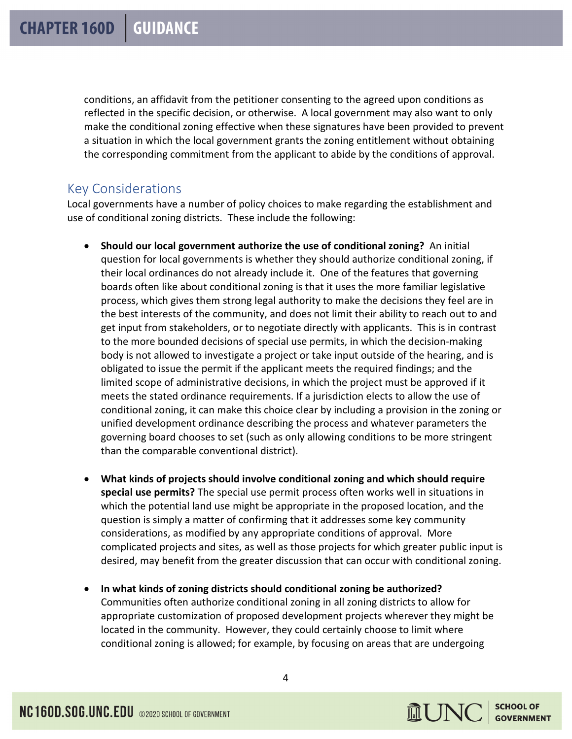conditions, an affidavit from the petitioner consenting to the agreed upon conditions as reflected in the specific decision, or otherwise. A local government may also want to only make the conditional zoning effective when these signatures have been provided to prevent a situation in which the local government grants the zoning entitlement without obtaining the corresponding commitment from the applicant to abide by the conditions of approval.

# Key Considerations

Local governments have a number of policy choices to make regarding the establishment and use of conditional zoning districts. These include the following:

- **Should our local government authorize the use of conditional zoning?** An initial question for local governments is whether they should authorize conditional zoning, if their local ordinances do not already include it. One of the features that governing boards often like about conditional zoning is that it uses the more familiar legislative process, which gives them strong legal authority to make the decisions they feel are in the best interests of the community, and does not limit their ability to reach out to and get input from stakeholders, or to negotiate directly with applicants. This is in contrast to the more bounded decisions of special use permits, in which the decision-making body is not allowed to investigate a project or take input outside of the hearing, and is obligated to issue the permit if the applicant meets the required findings; and the limited scope of administrative decisions, in which the project must be approved if it meets the stated ordinance requirements. If a jurisdiction elects to allow the use of conditional zoning, it can make this choice clear by including a provision in the zoning or unified development ordinance describing the process and whatever parameters the governing board chooses to set (such as only allowing conditions to be more stringent than the comparable conventional district).
- **What kinds of projects should involve conditional zoning and which should require special use permits?** The special use permit process often works well in situations in which the potential land use might be appropriate in the proposed location, and the question is simply a matter of confirming that it addresses some key community considerations, as modified by any appropriate conditions of approval. More complicated projects and sites, as well as those projects for which greater public input is desired, may benefit from the greater discussion that can occur with conditional zoning.
- **In what kinds of zoning districts should conditional zoning be authorized?** Communities often authorize conditional zoning in all zoning districts to allow for appropriate customization of proposed development projects wherever they might be located in the community. However, they could certainly choose to limit where conditional zoning is allowed; for example, by focusing on areas that are undergoing

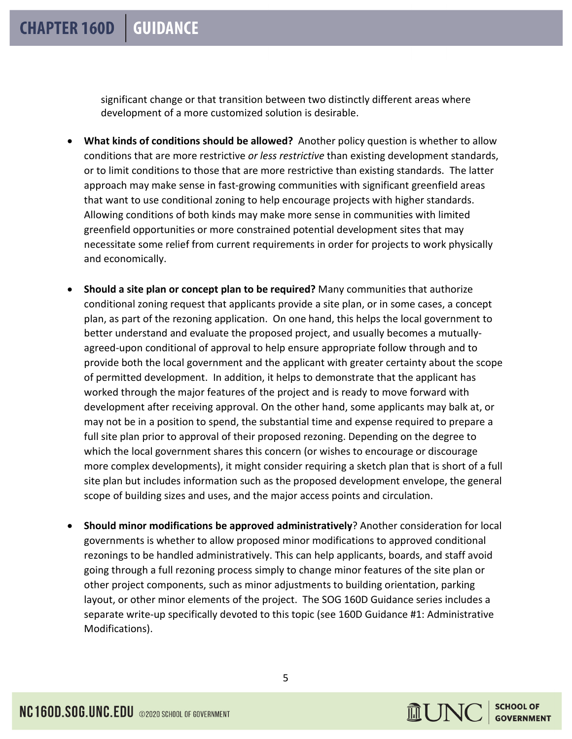significant change or that transition between two distinctly different areas where development of a more customized solution is desirable.

- **What kinds of conditions should be allowed?** Another policy question is whether to allow conditions that are more restrictive *or less restrictive* than existing development standards, or to limit conditions to those that are more restrictive than existing standards. The latter approach may make sense in fast-growing communities with significant greenfield areas that want to use conditional zoning to help encourage projects with higher standards. Allowing conditions of both kinds may make more sense in communities with limited greenfield opportunities or more constrained potential development sites that may necessitate some relief from current requirements in order for projects to work physically and economically.
- **Should a site plan or concept plan to be required?** Many communities that authorize conditional zoning request that applicants provide a site plan, or in some cases, a concept plan, as part of the rezoning application. On one hand, this helps the local government to better understand and evaluate the proposed project, and usually becomes a mutuallyagreed-upon conditional of approval to help ensure appropriate follow through and to provide both the local government and the applicant with greater certainty about the scope of permitted development. In addition, it helps to demonstrate that the applicant has worked through the major features of the project and is ready to move forward with development after receiving approval. On the other hand, some applicants may balk at, or may not be in a position to spend, the substantial time and expense required to prepare a full site plan prior to approval of their proposed rezoning. Depending on the degree to which the local government shares this concern (or wishes to encourage or discourage more complex developments), it might consider requiring a sketch plan that is short of a full site plan but includes information such as the proposed development envelope, the general scope of building sizes and uses, and the major access points and circulation.
- **Should minor modifications be approved administratively**? Another consideration for local governments is whether to allow proposed minor modifications to approved conditional rezonings to be handled administratively. This can help applicants, boards, and staff avoid going through a full rezoning process simply to change minor features of the site plan or other project components, such as minor adjustments to building orientation, parking layout, or other minor elements of the project. The SOG 160D Guidance series includes a separate write-up specifically devoted to this topic (see 160D Guidance #1: Administrative Modifications).

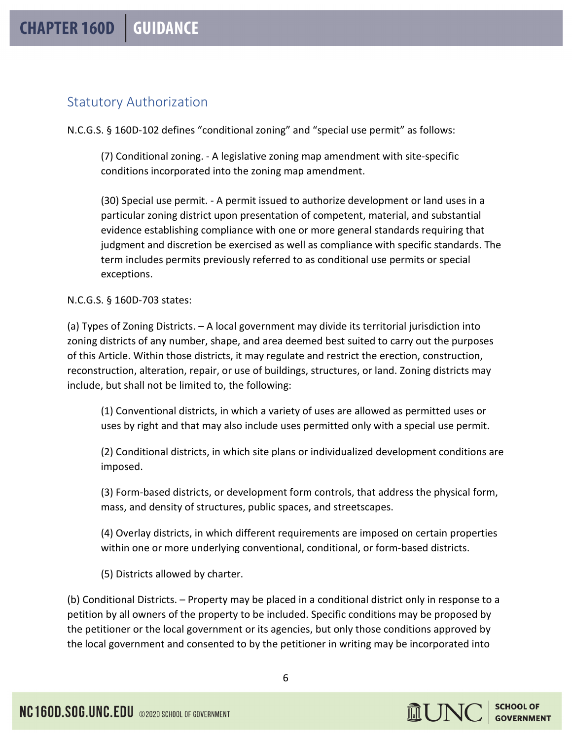# Statutory Authorization

N.C.G.S. § 160D-102 defines "conditional zoning" and "special use permit" as follows:

(7) Conditional zoning. - A legislative zoning map amendment with site-specific conditions incorporated into the zoning map amendment.

(30) Special use permit. - A permit issued to authorize development or land uses in a particular zoning district upon presentation of competent, material, and substantial evidence establishing compliance with one or more general standards requiring that judgment and discretion be exercised as well as compliance with specific standards. The term includes permits previously referred to as conditional use permits or special exceptions.

# N.C.G.S. § 160D-703 states:

(a) Types of Zoning Districts. – A local government may divide its territorial jurisdiction into zoning districts of any number, shape, and area deemed best suited to carry out the purposes of this Article. Within those districts, it may regulate and restrict the erection, construction, reconstruction, alteration, repair, or use of buildings, structures, or land. Zoning districts may include, but shall not be limited to, the following:

(1) Conventional districts, in which a variety of uses are allowed as permitted uses or uses by right and that may also include uses permitted only with a special use permit.

(2) Conditional districts, in which site plans or individualized development conditions are imposed.

(3) Form-based districts, or development form controls, that address the physical form, mass, and density of structures, public spaces, and streetscapes.

(4) Overlay districts, in which different requirements are imposed on certain properties within one or more underlying conventional, conditional, or form-based districts.

(5) Districts allowed by charter.

(b) Conditional Districts. – Property may be placed in a conditional district only in response to a petition by all owners of the property to be included. Specific conditions may be proposed by the petitioner or the local government or its agencies, but only those conditions approved by the local government and consented to by the petitioner in writing may be incorporated into

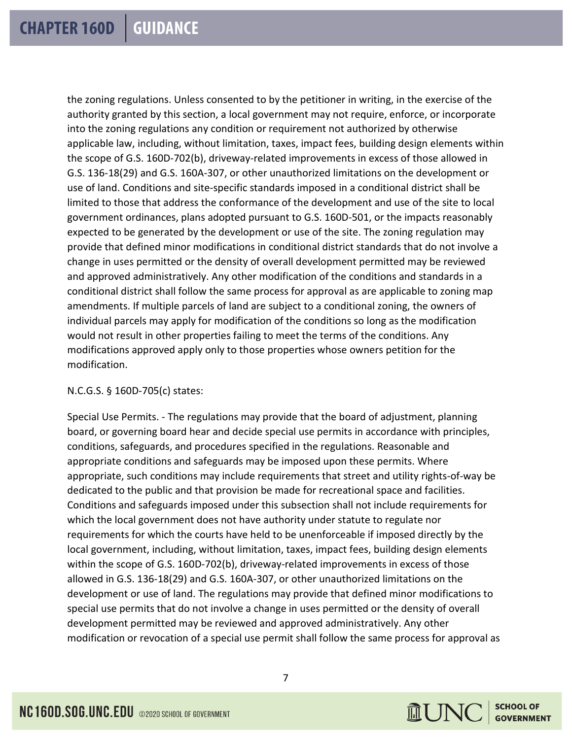the zoning regulations. Unless consented to by the petitioner in writing, in the exercise of the authority granted by this section, a local government may not require, enforce, or incorporate into the zoning regulations any condition or requirement not authorized by otherwise applicable law, including, without limitation, taxes, impact fees, building design elements within the scope of G.S. 160D-702(b), driveway-related improvements in excess of those allowed in G.S. 136-18(29) and G.S. 160A-307, or other unauthorized limitations on the development or use of land. Conditions and site-specific standards imposed in a conditional district shall be limited to those that address the conformance of the development and use of the site to local government ordinances, plans adopted pursuant to G.S. 160D-501, or the impacts reasonably expected to be generated by the development or use of the site. The zoning regulation may provide that defined minor modifications in conditional district standards that do not involve a change in uses permitted or the density of overall development permitted may be reviewed and approved administratively. Any other modification of the conditions and standards in a conditional district shall follow the same process for approval as are applicable to zoning map amendments. If multiple parcels of land are subject to a conditional zoning, the owners of individual parcels may apply for modification of the conditions so long as the modification would not result in other properties failing to meet the terms of the conditions. Any modifications approved apply only to those properties whose owners petition for the modification.

# N.C.G.S. § 160D-705(c) states:

Special Use Permits. - The regulations may provide that the board of adjustment, planning board, or governing board hear and decide special use permits in accordance with principles, conditions, safeguards, and procedures specified in the regulations. Reasonable and appropriate conditions and safeguards may be imposed upon these permits. Where appropriate, such conditions may include requirements that street and utility rights-of-way be dedicated to the public and that provision be made for recreational space and facilities. Conditions and safeguards imposed under this subsection shall not include requirements for which the local government does not have authority under statute to regulate nor requirements for which the courts have held to be unenforceable if imposed directly by the local government, including, without limitation, taxes, impact fees, building design elements within the scope of G.S. 160D-702(b), driveway-related improvements in excess of those allowed in G.S. 136-18(29) and G.S. 160A-307, or other unauthorized limitations on the development or use of land. The regulations may provide that defined minor modifications to special use permits that do not involve a change in uses permitted or the density of overall development permitted may be reviewed and approved administratively. Any other modification or revocation of a special use permit shall follow the same process for approval as

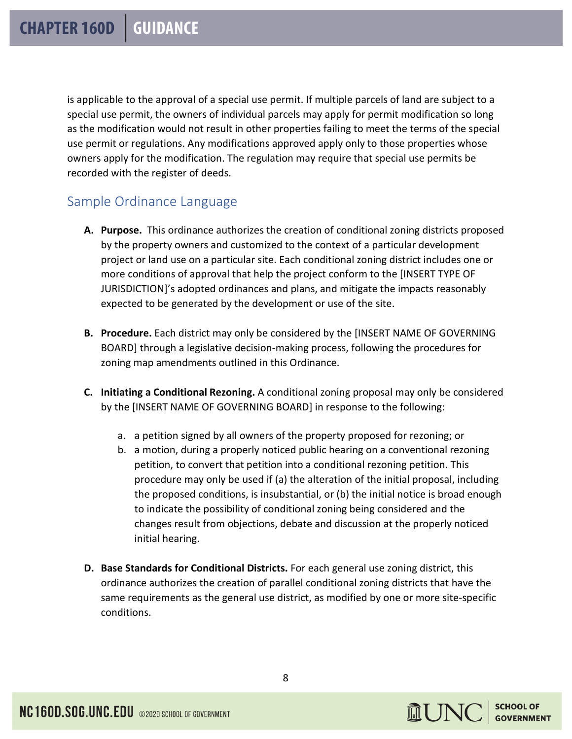is applicable to the approval of a special use permit. If multiple parcels of land are subject to a special use permit, the owners of individual parcels may apply for permit modification so long as the modification would not result in other properties failing to meet the terms of the special use permit or regulations. Any modifications approved apply only to those properties whose owners apply for the modification. The regulation may require that special use permits be recorded with the register of deeds.

# Sample Ordinance Language

- **A. Purpose.** This ordinance authorizes the creation of conditional zoning districts proposed by the property owners and customized to the context of a particular development project or land use on a particular site. Each conditional zoning district includes one or more conditions of approval that help the project conform to the [INSERT TYPE OF JURISDICTION]'s adopted ordinances and plans, and mitigate the impacts reasonably expected to be generated by the development or use of the site.
- **B. Procedure.** Each district may only be considered by the [INSERT NAME OF GOVERNING BOARD] through a legislative decision-making process, following the procedures for zoning map amendments outlined in this Ordinance.
- **C. Initiating a Conditional Rezoning.** A conditional zoning proposal may only be considered by the [INSERT NAME OF GOVERNING BOARD] in response to the following:
	- a. a petition signed by all owners of the property proposed for rezoning; or
	- b. a motion, during a properly noticed public hearing on a conventional rezoning petition, to convert that petition into a conditional rezoning petition. This procedure may only be used if (a) the alteration of the initial proposal, including the proposed conditions, is insubstantial, or (b) the initial notice is broad enough to indicate the possibility of conditional zoning being considered and the changes result from objections, debate and discussion at the properly noticed initial hearing.
- **D. Base Standards for Conditional Districts.** For each general use zoning district, this ordinance authorizes the creation of parallel conditional zoning districts that have the same requirements as the general use district, as modified by one or more site-specific conditions.

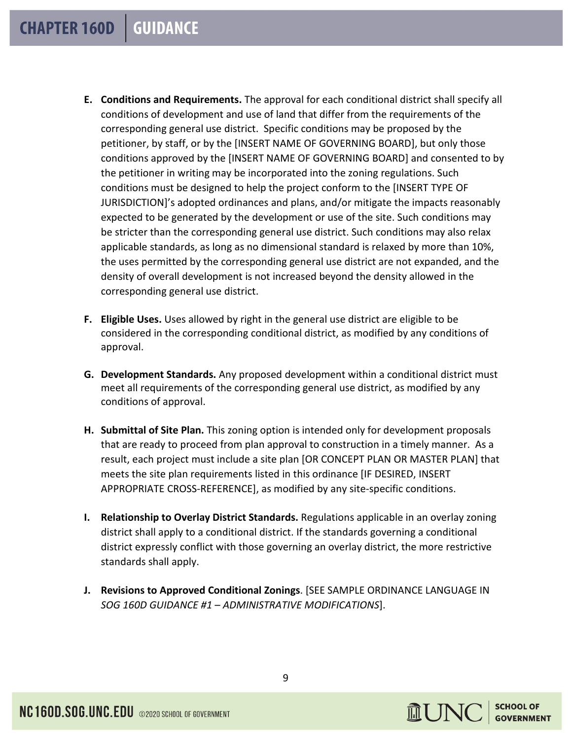- **E. Conditions and Requirements.** The approval for each conditional district shall specify all conditions of development and use of land that differ from the requirements of the corresponding general use district. Specific conditions may be proposed by the petitioner, by staff, or by the [INSERT NAME OF GOVERNING BOARD], but only those conditions approved by the [INSERT NAME OF GOVERNING BOARD] and consented to by the petitioner in writing may be incorporated into the zoning regulations. Such conditions must be designed to help the project conform to the [INSERT TYPE OF JURISDICTION]'s adopted ordinances and plans, and/or mitigate the impacts reasonably expected to be generated by the development or use of the site. Such conditions may be stricter than the corresponding general use district. Such conditions may also relax applicable standards, as long as no dimensional standard is relaxed by more than 10%, the uses permitted by the corresponding general use district are not expanded, and the density of overall development is not increased beyond the density allowed in the corresponding general use district.
- **F. Eligible Uses.** Uses allowed by right in the general use district are eligible to be considered in the corresponding conditional district, as modified by any conditions of approval.
- **G. Development Standards.** Any proposed development within a conditional district must meet all requirements of the corresponding general use district, as modified by any conditions of approval.
- **H. Submittal of Site Plan.** This zoning option is intended only for development proposals that are ready to proceed from plan approval to construction in a timely manner. As a result, each project must include a site plan [OR CONCEPT PLAN OR MASTER PLAN] that meets the site plan requirements listed in this ordinance [IF DESIRED, INSERT APPROPRIATE CROSS-REFERENCE], as modified by any site-specific conditions.
- **I. Relationship to Overlay District Standards.** Regulations applicable in an overlay zoning district shall apply to a conditional district. If the standards governing a conditional district expressly conflict with those governing an overlay district, the more restrictive standards shall apply.
- **J. Revisions to Approved Conditional Zonings**. [SEE SAMPLE ORDINANCE LANGUAGE IN *SOG 160D GUIDANCE #1 – ADMINISTRATIVE MODIFICATIONS*].

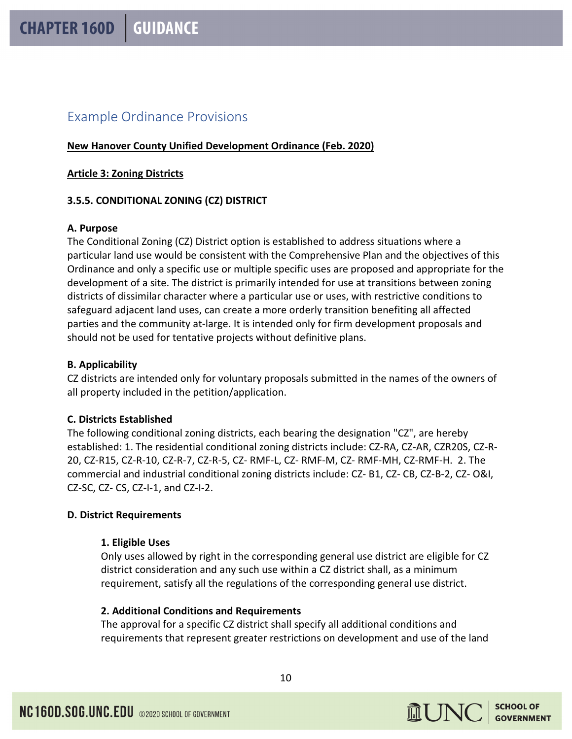# Example Ordinance Provisions

# **New Hanover County Unified Development Ordinance (Feb. 2020)**

#### **Article 3: Zoning Districts**

# **3.5.5. CONDITIONAL ZONING (CZ) DISTRICT**

# **A. Purpose**

The Conditional Zoning (CZ) District option is established to address situations where a particular land use would be consistent with the Comprehensive Plan and the objectives of this Ordinance and only a specific use or multiple specific uses are proposed and appropriate for the development of a site. The district is primarily intended for use at transitions between zoning districts of dissimilar character where a particular use or uses, with restrictive conditions to safeguard adjacent land uses, can create a more orderly transition benefiting all affected parties and the community at-large. It is intended only for firm development proposals and should not be used for tentative projects without definitive plans.

# **B. Applicability**

CZ districts are intended only for voluntary proposals submitted in the names of the owners of all property included in the petition/application.

# **C. Districts Established**

The following conditional zoning districts, each bearing the designation "CZ", are hereby established: 1. The residential conditional zoning districts include: CZ-RA, CZ-AR, CZR20S, CZ-R-20, CZ-R15, CZ-R-10, CZ-R-7, CZ-R-5, CZ- RMF-L, CZ- RMF-M, CZ- RMF-MH, CZ-RMF-H. 2. The commercial and industrial conditional zoning districts include: CZ- B1, CZ- CB, CZ-B-2, CZ- O&I, CZ-SC, CZ- CS, CZ-I-1, and CZ-I-2.

# **D. District Requirements**

#### **1. Eligible Uses**

Only uses allowed by right in the corresponding general use district are eligible for CZ district consideration and any such use within a CZ district shall, as a minimum requirement, satisfy all the regulations of the corresponding general use district.

# **2. Additional Conditions and Requirements**

The approval for a specific CZ district shall specify all additional conditions and requirements that represent greater restrictions on development and use of the land

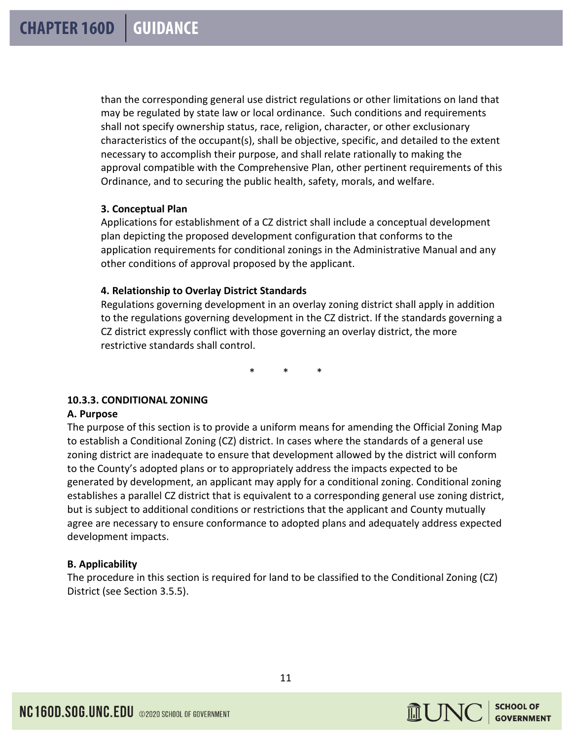than the corresponding general use district regulations or other limitations on land that may be regulated by state law or local ordinance. Such conditions and requirements shall not specify ownership status, race, religion, character, or other exclusionary characteristics of the occupant(s), shall be objective, specific, and detailed to the extent necessary to accomplish their purpose, and shall relate rationally to making the approval compatible with the Comprehensive Plan, other pertinent requirements of this Ordinance, and to securing the public health, safety, morals, and welfare.

# **3. Conceptual Plan**

Applications for establishment of a CZ district shall include a conceptual development plan depicting the proposed development configuration that conforms to the application requirements for conditional zonings in the Administrative Manual and any other conditions of approval proposed by the applicant.

# **4. Relationship to Overlay District Standards**

Regulations governing development in an overlay zoning district shall apply in addition to the regulations governing development in the CZ district. If the standards governing a CZ district expressly conflict with those governing an overlay district, the more restrictive standards shall control.

\* \* \*

# **10.3.3. CONDITIONAL ZONING**

# **A. Purpose**

The purpose of this section is to provide a uniform means for amending the Official Zoning Map to establish a Conditional Zoning (CZ) district. In cases where the standards of a general use zoning district are inadequate to ensure that development allowed by the district will conform to the County's adopted plans or to appropriately address the impacts expected to be generated by development, an applicant may apply for a conditional zoning. Conditional zoning establishes a parallel CZ district that is equivalent to a corresponding general use zoning district, but is subject to additional conditions or restrictions that the applicant and County mutually agree are necessary to ensure conformance to adopted plans and adequately address expected development impacts.

# **B. Applicability**

The procedure in this section is required for land to be classified to the Conditional Zoning (CZ) District (see Section 3.5.5).

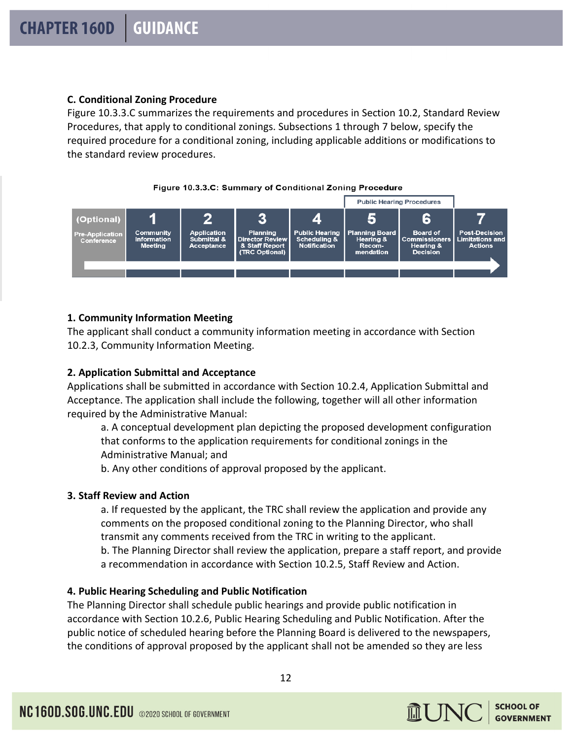# **C. Conditional Zoning Procedure**

Figure 10.3.3.C summarizes the requirements and procedures in Section 10.2, Standard Review Procedures, that apply to conditional zonings. Subsections 1 through 7 below, specify the required procedure for a conditional zoning, including applicable additions or modifications to the standard review procedures.





# **1. Community Information Meeting**

The applicant shall conduct a community information meeting in accordance with Section 10.2.3, Community Information Meeting.

# **2. Application Submittal and Acceptance**

Applications shall be submitted in accordance with Section 10.2.4, Application Submittal and Acceptance. The application shall include the following, together will all other information required by the Administrative Manual:

a. A conceptual development plan depicting the proposed development configuration that conforms to the application requirements for conditional zonings in the Administrative Manual; and

b. Any other conditions of approval proposed by the applicant.

# **3. Staff Review and Action**

a. If requested by the applicant, the TRC shall review the application and provide any comments on the proposed conditional zoning to the Planning Director, who shall transmit any comments received from the TRC in writing to the applicant.

b. The Planning Director shall review the application, prepare a staff report, and provide a recommendation in accordance with Section 10.2.5, Staff Review and Action.

# **4. Public Hearing Scheduling and Public Notification**

The Planning Director shall schedule public hearings and provide public notification in accordance with Section 10.2.6, Public Hearing Scheduling and Public Notification. After the public notice of scheduled hearing before the Planning Board is delivered to the newspapers, the conditions of approval proposed by the applicant shall not be amended so they are less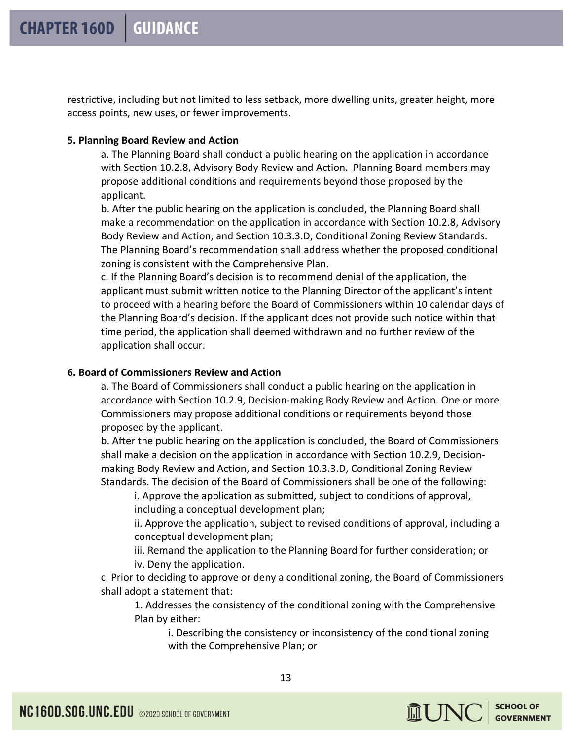restrictive, including but not limited to less setback, more dwelling units, greater height, more access points, new uses, or fewer improvements.

#### **5. Planning Board Review and Action**

a. The Planning Board shall conduct a public hearing on the application in accordance with Section 10.2.8, Advisory Body Review and Action. Planning Board members may propose additional conditions and requirements beyond those proposed by the applicant.

b. After the public hearing on the application is concluded, the Planning Board shall make a recommendation on the application in accordance with Section 10.2.8, Advisory Body Review and Action, and Section 10.3.3.D, Conditional Zoning Review Standards. The Planning Board's recommendation shall address whether the proposed conditional zoning is consistent with the Comprehensive Plan.

c. If the Planning Board's decision is to recommend denial of the application, the applicant must submit written notice to the Planning Director of the applicant's intent to proceed with a hearing before the Board of Commissioners within 10 calendar days of the Planning Board's decision. If the applicant does not provide such notice within that time period, the application shall deemed withdrawn and no further review of the application shall occur.

# **6. Board of Commissioners Review and Action**

a. The Board of Commissioners shall conduct a public hearing on the application in accordance with Section 10.2.9, Decision-making Body Review and Action. One or more Commissioners may propose additional conditions or requirements beyond those proposed by the applicant.

b. After the public hearing on the application is concluded, the Board of Commissioners shall make a decision on the application in accordance with Section 10.2.9, Decisionmaking Body Review and Action, and Section 10.3.3.D, Conditional Zoning Review Standards. The decision of the Board of Commissioners shall be one of the following:

i. Approve the application as submitted, subject to conditions of approval, including a conceptual development plan;

ii. Approve the application, subject to revised conditions of approval, including a conceptual development plan;

iii. Remand the application to the Planning Board for further consideration; or iv. Deny the application.

c. Prior to deciding to approve or deny a conditional zoning, the Board of Commissioners shall adopt a statement that:

1. Addresses the consistency of the conditional zoning with the Comprehensive Plan by either:

i. Describing the consistency or inconsistency of the conditional zoning with the Comprehensive Plan; or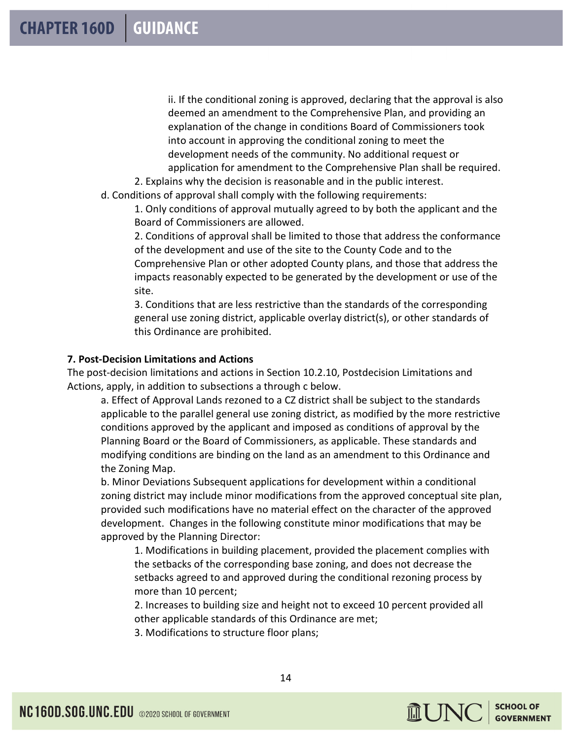ii. If the conditional zoning is approved, declaring that the approval is also deemed an amendment to the Comprehensive Plan, and providing an explanation of the change in conditions Board of Commissioners took into account in approving the conditional zoning to meet the development needs of the community. No additional request or application for amendment to the Comprehensive Plan shall be required.

2. Explains why the decision is reasonable and in the public interest. d. Conditions of approval shall comply with the following requirements:

1. Only conditions of approval mutually agreed to by both the applicant and the Board of Commissioners are allowed.

2. Conditions of approval shall be limited to those that address the conformance of the development and use of the site to the County Code and to the Comprehensive Plan or other adopted County plans, and those that address the impacts reasonably expected to be generated by the development or use of the site.

3. Conditions that are less restrictive than the standards of the corresponding general use zoning district, applicable overlay district(s), or other standards of this Ordinance are prohibited.

# **7. Post-Decision Limitations and Actions**

The post-decision limitations and actions in Section 10.2.10, Postdecision Limitations and Actions, apply, in addition to subsections a through c below.

a. Effect of Approval Lands rezoned to a CZ district shall be subject to the standards applicable to the parallel general use zoning district, as modified by the more restrictive conditions approved by the applicant and imposed as conditions of approval by the Planning Board or the Board of Commissioners, as applicable. These standards and modifying conditions are binding on the land as an amendment to this Ordinance and the Zoning Map.

b. Minor Deviations Subsequent applications for development within a conditional zoning district may include minor modifications from the approved conceptual site plan, provided such modifications have no material effect on the character of the approved development. Changes in the following constitute minor modifications that may be approved by the Planning Director:

1. Modifications in building placement, provided the placement complies with the setbacks of the corresponding base zoning, and does not decrease the setbacks agreed to and approved during the conditional rezoning process by more than 10 percent;

2. Increases to building size and height not to exceed 10 percent provided all other applicable standards of this Ordinance are met;

3. Modifications to structure floor plans;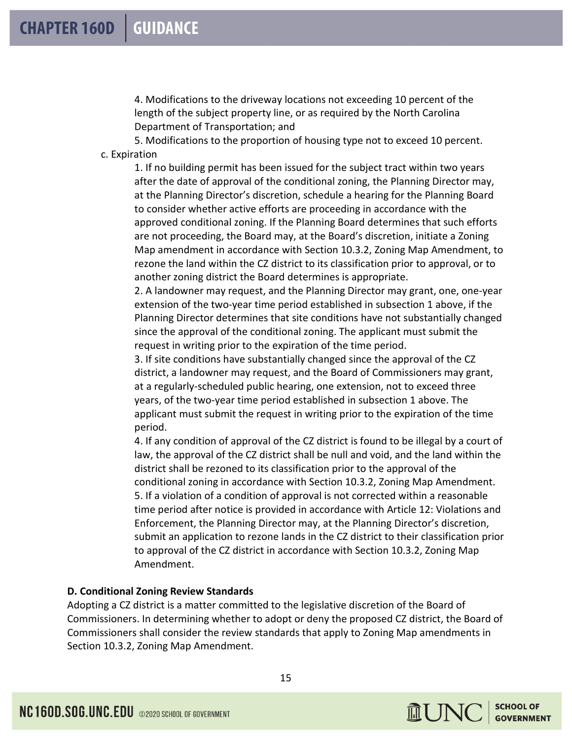4. Modifications to the driveway locations not exceeding 10 percent of the length of the subject property line, or as required by the North Carolina Department of Transportation; and

5. Modifications to the proportion of housing type not to exceed 10 percent. c. Expiration

1. If no building permit has been issued for the subject tract within two years after the date of approval of the conditional zoning, the Planning Director may, at the Planning Director's discretion, schedule a hearing for the Planning Board to consider whether active efforts are proceeding in accordance with the approved conditional zoning. If the Planning Board determines that such efforts are not proceeding, the Board may, at the Board's discretion, initiate a Zoning Map amendment in accordance with Section 10.3.2, Zoning Map Amendment, to rezone the land within the CZ district to its classification prior to approval, or to another zoning district the Board determines is appropriate.

2. A landowner may request, and the Planning Director may grant, one, one-year extension of the two-year time period established in subsection 1 above, if the Planning Director determines that site conditions have not substantially changed since the approval of the conditional zoning. The applicant must submit the request in writing prior to the expiration of the time period.

3. If site conditions have substantially changed since the approval of the CZ district, a landowner may request, and the Board of Commissioners may grant, at a regularly-scheduled public hearing, one extension, not to exceed three years, of the two-year time period established in subsection 1 above. The applicant must submit the request in writing prior to the expiration of the time period.

4. If any condition of approval of the CZ district is found to be illegal by a court of law, the approval of the CZ district shall be null and void, and the land within the district shall be rezoned to its classification prior to the approval of the conditional zoning in accordance with Section 10.3.2, Zoning Map Amendment. 5. If a violation of a condition of approval is not corrected within a reasonable time period after notice is provided in accordance with Article 12: Violations and Enforcement, the Planning Director may, at the Planning Director's discretion, submit an application to rezone lands in the CZ district to their classification prior to approval of the CZ district in accordance with Section 10.3.2, Zoning Map Amendment.

# **D. Conditional Zoning Review Standards**

Adopting a CZ district is a matter committed to the legislative discretion of the Board of Commissioners. In determining whether to adopt or deny the proposed CZ district, the Board of Commissioners shall consider the review standards that apply to Zoning Map amendments in Section 10.3.2, Zoning Map Amendment.

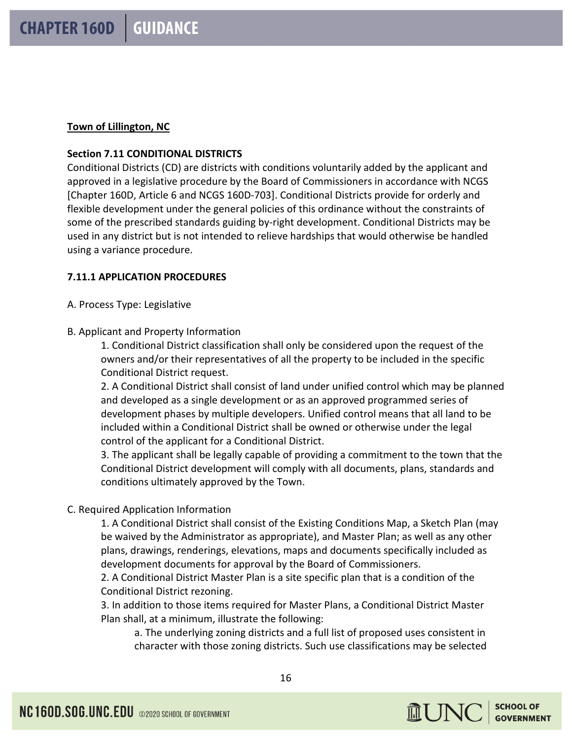# **Town of Lillington, NC**

# **Section 7.11 CONDITIONAL DISTRICTS**

Conditional Districts (CD) are districts with conditions voluntarily added by the applicant and approved in a legislative procedure by the Board of Commissioners in accordance with NCGS [Chapter 160D, Article 6 and NCGS 160D-703]. Conditional Districts provide for orderly and flexible development under the general policies of this ordinance without the constraints of some of the prescribed standards guiding by-right development. Conditional Districts may be used in any district but is not intended to relieve hardships that would otherwise be handled using a variance procedure.

# **7.11.1 APPLICATION PROCEDURES**

A. Process Type: Legislative

B. Applicant and Property Information

1. Conditional District classification shall only be considered upon the request of the owners and/or their representatives of all the property to be included in the specific Conditional District request.

2. A Conditional District shall consist of land under unified control which may be planned and developed as a single development or as an approved programmed series of development phases by multiple developers. Unified control means that all land to be included within a Conditional District shall be owned or otherwise under the legal control of the applicant for a Conditional District.

3. The applicant shall be legally capable of providing a commitment to the town that the Conditional District development will comply with all documents, plans, standards and conditions ultimately approved by the Town.

# C. Required Application Information

1. A Conditional District shall consist of the Existing Conditions Map, a Sketch Plan (may be waived by the Administrator as appropriate), and Master Plan; as well as any other plans, drawings, renderings, elevations, maps and documents specifically included as development documents for approval by the Board of Commissioners.

2. A Conditional District Master Plan is a site specific plan that is a condition of the Conditional District rezoning.

3. In addition to those items required for Master Plans, a Conditional District Master Plan shall, at a minimum, illustrate the following:

a. The underlying zoning districts and a full list of proposed uses consistent in character with those zoning districts. Such use classifications may be selected

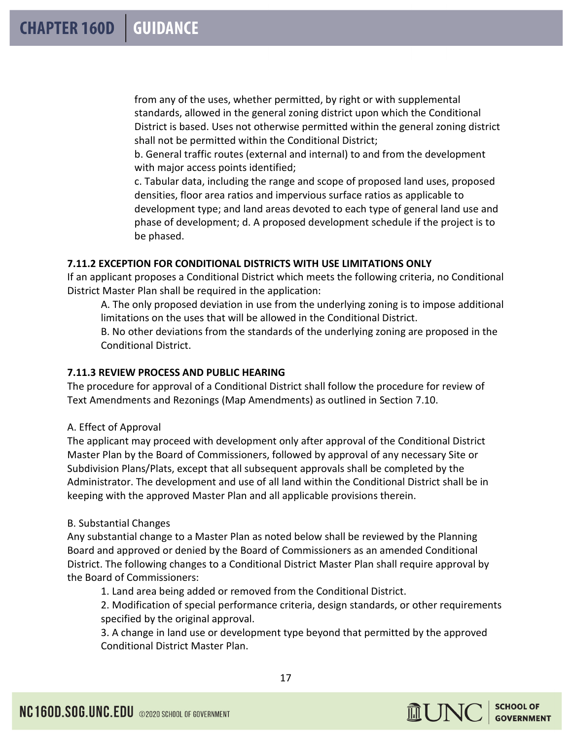from any of the uses, whether permitted, by right or with supplemental standards, allowed in the general zoning district upon which the Conditional District is based. Uses not otherwise permitted within the general zoning district shall not be permitted within the Conditional District;

b. General traffic routes (external and internal) to and from the development with major access points identified;

c. Tabular data, including the range and scope of proposed land uses, proposed densities, floor area ratios and impervious surface ratios as applicable to development type; and land areas devoted to each type of general land use and phase of development; d. A proposed development schedule if the project is to be phased.

# **7.11.2 EXCEPTION FOR CONDITIONAL DISTRICTS WITH USE LIMITATIONS ONLY**

If an applicant proposes a Conditional District which meets the following criteria, no Conditional District Master Plan shall be required in the application:

A. The only proposed deviation in use from the underlying zoning is to impose additional limitations on the uses that will be allowed in the Conditional District.

B. No other deviations from the standards of the underlying zoning are proposed in the Conditional District.

# **7.11.3 REVIEW PROCESS AND PUBLIC HEARING**

The procedure for approval of a Conditional District shall follow the procedure for review of Text Amendments and Rezonings (Map Amendments) as outlined in Section 7.10.

# A. Effect of Approval

The applicant may proceed with development only after approval of the Conditional District Master Plan by the Board of Commissioners, followed by approval of any necessary Site or Subdivision Plans/Plats, except that all subsequent approvals shall be completed by the Administrator. The development and use of all land within the Conditional District shall be in keeping with the approved Master Plan and all applicable provisions therein.

# B. Substantial Changes

Any substantial change to a Master Plan as noted below shall be reviewed by the Planning Board and approved or denied by the Board of Commissioners as an amended Conditional District. The following changes to a Conditional District Master Plan shall require approval by the Board of Commissioners:

1. Land area being added or removed from the Conditional District.

2. Modification of special performance criteria, design standards, or other requirements specified by the original approval.

3. A change in land use or development type beyond that permitted by the approved Conditional District Master Plan.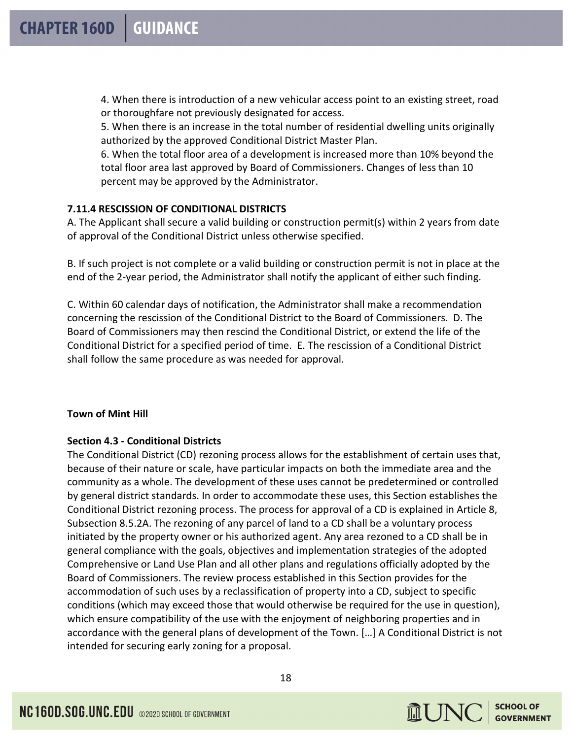4. When there is introduction of a new vehicular access point to an existing street, road or thoroughfare not previously designated for access.

5. When there is an increase in the total number of residential dwelling units originally authorized by the approved Conditional District Master Plan.

6. When the total floor area of a development is increased more than 10% beyond the total floor area last approved by Board of Commissioners. Changes of less than 10 percent may be approved by the Administrator.

# **7.11.4 RESCISSION OF CONDITIONAL DISTRICTS**

A. The Applicant shall secure a valid building or construction permit(s) within 2 years from date of approval of the Conditional District unless otherwise specified.

B. If such project is not complete or a valid building or construction permit is not in place at the end of the 2-year period, the Administrator shall notify the applicant of either such finding.

C. Within 60 calendar days of notification, the Administrator shall make a recommendation concerning the rescission of the Conditional District to the Board of Commissioners. D. The Board of Commissioners may then rescind the Conditional District, or extend the life of the Conditional District for a specified period of time. E. The rescission of a Conditional District shall follow the same procedure as was needed for approval.

# **Town of Mint Hill**

# **Section 4.3 - Conditional Districts**

The Conditional District (CD) rezoning process allows for the establishment of certain uses that, because of their nature or scale, have particular impacts on both the immediate area and the community as a whole. The development of these uses cannot be predetermined or controlled by general district standards. In order to accommodate these uses, this Section establishes the Conditional District rezoning process. The process for approval of a CD is explained in Article 8, Subsection 8.5.2A. The rezoning of any parcel of land to a CD shall be a voluntary process initiated by the property owner or his authorized agent. Any area rezoned to a CD shall be in general compliance with the goals, objectives and implementation strategies of the adopted Comprehensive or Land Use Plan and all other plans and regulations officially adopted by the Board of Commissioners. The review process established in this Section provides for the accommodation of such uses by a reclassification of property into a CD, subject to specific conditions (which may exceed those that would otherwise be required for the use in question), which ensure compatibility of the use with the enjoyment of neighboring properties and in accordance with the general plans of development of the Town. […] A Conditional District is not intended for securing early zoning for a proposal.

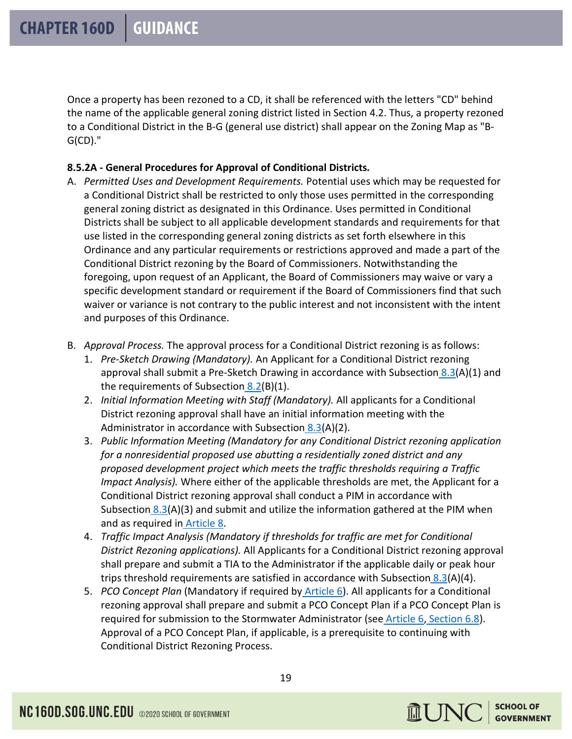Once a property has been rezoned to a CD, it shall be referenced with the letters "CD" behind the name of the applicable general zoning district listed in Section 4.2. Thus, a property rezoned to a Conditional District in the B-G (general use district) shall appear on the Zoning Map as "B-G(CD)."

# **8.5.2A - General Procedures for Approval of Conditional Districts***.*

- A. *Permitted Uses and Development Requirements.* Potential uses which may be requested for a Conditional District shall be restricted to only those uses permitted in the corresponding general zoning district as designated in this Ordinance. Uses permitted in Conditional Districts shall be subject to all applicable development standards and requirements for that use listed in the corresponding general zoning districts as set forth elsewhere in this Ordinance and any particular requirements or restrictions approved and made a part of the Conditional District rezoning by the Board of Commissioners. Notwithstanding the foregoing, upon request of an Applicant, the Board of Commissioners may waive or vary a specific development standard or requirement if the Board of Commissioners find that such waiver or variance is not contrary to the public interest and not inconsistent with the intent and purposes of this Ordinance.
- B. *Approval Process.* The approval process for a Conditional District rezoning is as follows:
	- 1. *Pre-Sketch Drawing (Mandatory).* An Applicant for a Conditional District rezoning approval shall submit a Pre-Sketch Drawing in accordance with Subsection  $8.3(A)(1)$  $8.3(A)(1)$  and the requirements of Subsection  $8.2(B)(1)$  $8.2(B)(1)$ .
	- 2. *Initial Information Meeting with Staff (Mandatory).* All applicants for a Conditional District rezoning approval shall have an initial information meeting with the Administrator in accordance with Subsection [8.3\(](https://library.municode.com/nc/mint_hill/codes/code_of_ordinances?nodeId=PTIIIUNDEOR_ART8ADPRRE_S8.3PRRE)A)(2).
	- 3. *Public Information Meeting (Mandatory for any Conditional District rezoning application for a nonresidential proposed use abutting a residentially zoned district and any proposed development project which meets the traffic thresholds requiring a Traffic Impact Analysis).* Where either of the applicable thresholds are met, the Applicant for a Conditional District rezoning approval shall conduct a PIM in accordance with Subsection  $8.3(A)(3)$  $8.3(A)(3)$  and submit and utilize the information gathered at the PIM when and as required in **Article 8**.
	- 4. *Traffic Impact Analysis (Mandatory if thresholds for traffic are met for Conditional District Rezoning applications).* All Applicants for a Conditional District rezoning approval shall prepare and submit a TIA to the Administrator if the applicable daily or peak hour trips threshold requirements are satisfied in accordance with Subsection  $8.3(A)(4)$  $8.3(A)(4)$ .
	- 5. *PCO Concept Plan* (Mandatory if required by [Article 6\)](https://library.municode.com/nc/mint_hill/codes/code_of_ordinances?nodeId=PTIIIUNDEOR_ART6GERE). All applicants for a Conditional rezoning approval shall prepare and submit a PCO Concept Plan if a PCO Concept Plan is required for submission to the Stormwater Administrator (see [Article 6,](https://library.municode.com/nc/mint_hill/codes/code_of_ordinances?nodeId=PTIIIUNDEOR_ART6GERE) [Section 6.8\)](https://library.municode.com/nc/mint_hill/codes/code_of_ordinances?nodeId=PTIIIUNDEOR_ART6GERE_S6.8PONSOR). Approval of a PCO Concept Plan, if applicable, is a prerequisite to continuing with Conditional District Rezoning Process.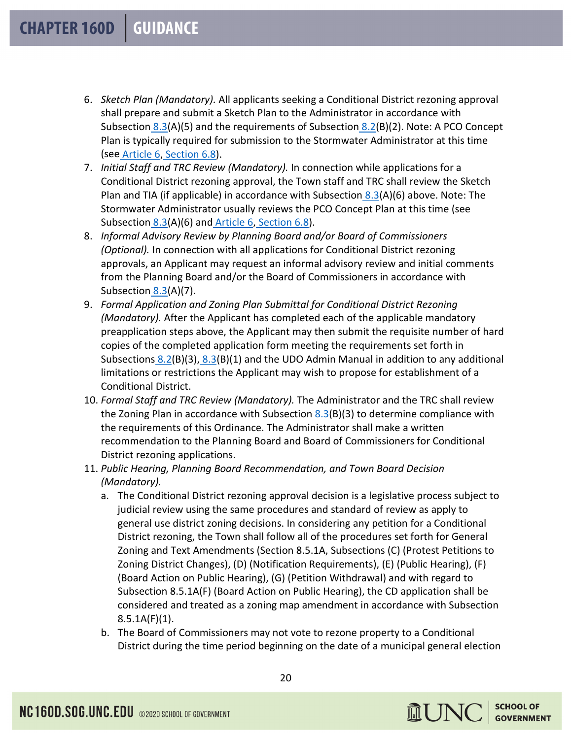- 6. *Sketch Plan (Mandatory).* All applicants seeking a Conditional District rezoning approval shall prepare and submit a Sketch Plan to the Administrator in accordance with Subsection  $8.3(A)(5)$  $8.3(A)(5)$  and the requirements of Subsection  $8.2(B)(2)$  $8.2(B)(2)$ . Note: A PCO Concept Plan is typically required for submission to the Stormwater Administrator at this time (see [Article 6,](https://library.municode.com/nc/mint_hill/codes/code_of_ordinances?nodeId=PTIIIUNDEOR_ART6GERE) [Section 6.8\)](https://library.municode.com/nc/mint_hill/codes/code_of_ordinances?nodeId=PTIIIUNDEOR_ART6GERE_S6.8PONSOR).
- 7. *Initial Staff and TRC Review (Mandatory).* In connection while applications for a Conditional District rezoning approval, the Town staff and TRC shall review the Sketch Plan and TIA (if applicable) in accordance with Subsection  $8.3(A)(6)$  $8.3(A)(6)$  above. Note: The Stormwater Administrator usually reviews the PCO Concept Plan at this time (see Subsection  $8.3(A)(6)$  $8.3(A)(6)$  and [Article 6,](https://library.municode.com/nc/mint_hill/codes/code_of_ordinances?nodeId=PTIIIUNDEOR_ART6GERE) [Section 6.8\)](https://library.municode.com/nc/mint_hill/codes/code_of_ordinances?nodeId=PTIIIUNDEOR_ART6GERE_S6.8PONSOR).
- 8. *Informal Advisory Review by Planning Board and/or Board of Commissioners (Optional).* In connection with all applications for Conditional District rezoning approvals, an Applicant may request an informal advisory review and initial comments from the Planning Board and/or the Board of Commissioners in accordance with Subsection  $8.3(A)(7)$  $8.3(A)(7)$ .
- 9. *Formal Application and Zoning Plan Submittal for Conditional District Rezoning (Mandatory).* After the Applicant has completed each of the applicable mandatory preapplication steps above, the Applicant may then submit the requisite number of hard copies of the completed application form meeting the requirements set forth in Subsections  $8.2(B)(3)$  $8.2(B)(3)$ ,  $8.3(B)(1)$  $8.3(B)(1)$  and the UDO Admin Manual in addition to any additional limitations or restrictions the Applicant may wish to propose for establishment of a Conditional District.
- 10. *Formal Staff and TRC Review (Mandatory).* The Administrator and the TRC shall review the Zoning Plan in accordance with Subsection  $8.3(B)(3)$  $8.3(B)(3)$  to determine compliance with the requirements of this Ordinance. The Administrator shall make a written recommendation to the Planning Board and Board of Commissioners for Conditional District rezoning applications.
- 11. *Public Hearing, Planning Board Recommendation, and Town Board Decision (Mandatory).*
	- a. The Conditional District rezoning approval decision is a legislative process subject to judicial review using the same procedures and standard of review as apply to general use district zoning decisions. In considering any petition for a Conditional District rezoning, the Town shall follow all of the procedures set forth for General Zoning and Text Amendments (Section 8.5.1A, Subsections (C) (Protest Petitions to Zoning District Changes), (D) (Notification Requirements), (E) (Public Hearing), (F) (Board Action on Public Hearing), (G) (Petition Withdrawal) and with regard to Subsection 8.5.1A(F) (Board Action on Public Hearing), the CD application shall be considered and treated as a zoning map amendment in accordance with Subsection  $8.5.1A(F)(1)$ .
	- b. The Board of Commissioners may not vote to rezone property to a Conditional District during the time period beginning on the date of a municipal general election